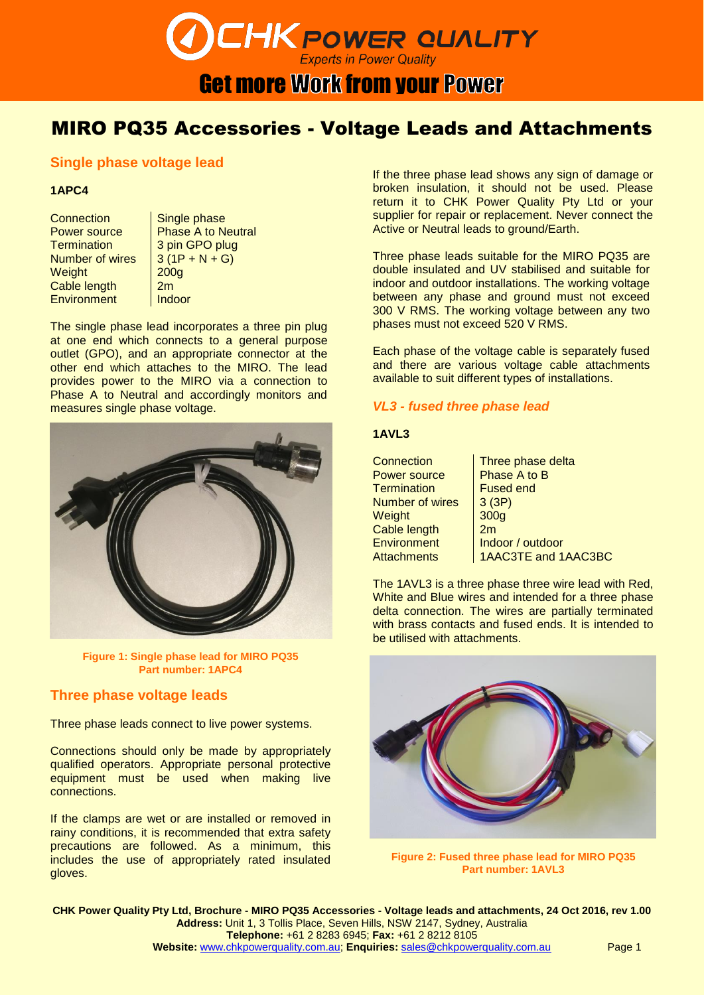## **CHK POWER QUALITY Get more Work from your Power**

#### MIRO PQ35 Accessories - Voltage Leads and Attachments

#### **Single phase voltage lead**

#### **1APC4**

Connection | Single phase Termination 3 pin GPO plug Number of wires  $\left| \frac{3(1P + N + G)}{2} \right|$ Weight 200g Cable length 2m Environment Indoor

Power source | Phase A to Neutral

The single phase lead incorporates a three pin plug at one end which connects to a general purpose outlet (GPO), and an appropriate connector at the other end which attaches to the MIRO. The lead provides power to the MIRO via a connection to Phase A to Neutral and accordingly monitors and measures single phase voltage.



**Figure 1: Single phase lead for MIRO PQ35 Part number: 1APC4**

#### **Three phase voltage leads**

Three phase leads connect to live power systems.

Connections should only be made by appropriately qualified operators. Appropriate personal protective equipment must be used when making live connections.

If the clamps are wet or are installed or removed in rainy conditions, it is recommended that extra safety precautions are followed. As a minimum, this includes the use of appropriately rated insulated gloves.

If the three phase lead shows any sign of damage or broken insulation, it should not be used. Please return it to CHK Power Quality Pty Ltd or your supplier for repair or replacement. Never connect the Active or Neutral leads to ground/Earth.

Three phase leads suitable for the MIRO PQ35 are double insulated and UV stabilised and suitable for indoor and outdoor installations. The working voltage between any phase and ground must not exceed 300 V RMS. The working voltage between any two phases must not exceed 520 V RMS.

Each phase of the voltage cable is separately fused and there are various voltage cable attachments available to suit different types of installations.

#### *VL3 - fused three phase lead*

#### **1AVL3**

Connection | Three phase delta Power source Phase A to B<br>Termination Fused end **Termination** Number of wires  $\left| \begin{array}{cc} 3(3P) \end{array} \right|$ Weight 300g Cable length | 2m

Environment | Indoor / outdoor Attachments | 1AAC3TE and 1AAC3BC

The 1AVL3 is a three phase three wire lead with Red, White and Blue wires and intended for a three phase delta connection. The wires are partially terminated with brass contacts and fused ends. It is intended to be utilised with attachments.



**Figure 2: Fused three phase lead for MIRO PQ35 Part number: 1AVL3**

**CHK Power Quality Pty Ltd, Brochure - MIRO PQ35 Accessories - Voltage leads and attachments, 24 Oct 2016, rev 1.00 Address:** Unit 1, 3 Tollis Place, Seven Hills, NSW 2147, Sydney, Australia **Telephone:** +61 2 8283 6945; **Fax:** +61 2 8212 8105 **Website:** [www.chkpowerquality.com.au;](http://www.chkpowerquality.com.au/) **Enquiries:** [sales@chkpowerquality.com.au](mailto:sales@chkpowerquality.com.au) Page 1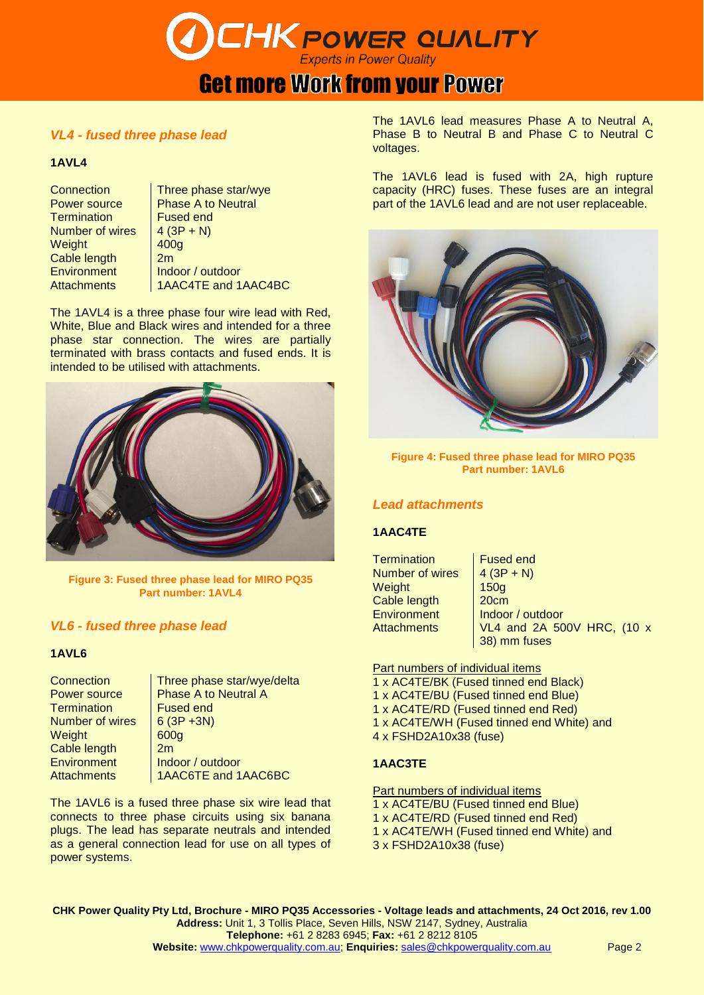## **CHK POWER QUALITY**

### **Get more Work from your Power**

#### *VL4 - fused three phase lead*

#### **1AVL4**

Termination **Fused end**<br>Number of wires  $4(3P + N)$ **Number of wires** Weight 100g Cable length 2m

Connection | Three phase star/wye Power source | Phase A to Neutral<br>Termination | Fused end Environment | Indoor / outdoor Attachments 1AAC4TE and 1AAC4BC

The 1AVL4 is a three phase four wire lead with Red, White, Blue and Black wires and intended for a three phase star connection. The wires are partially terminated with brass contacts and fused ends. It is intended to be utilised with attachments.



**Figure 3: Fused three phase lead for MIRO PQ35 Part number: 1AVL4**

#### *VL6 - fused three phase lead*

#### **1AVL6**

Termination Fused end<br>Number of wires 6 (3P +3N) Number of wires Weight 600g Cable length 2m Environment Indoor / outdoor

Connection Three phase star/wye/delta<br>
Power source Phase A to Neutral A Phase A to Neutral A Attachments | 1AAC6TE and 1AAC6BC

The 1AVL6 is a fused three phase six wire lead that connects to three phase circuits using six banana plugs. The lead has separate neutrals and intended as a general connection lead for use on all types of power systems.

The 1AVL6 lead measures Phase A to Neutral A, Phase B to Neutral B and Phase C to Neutral C voltages.

The 1AVL6 lead is fused with 2A, high rupture capacity (HRC) fuses. These fuses are an integral part of the 1AVL6 lead and are not user replaceable.



**Figure 4: Fused three phase lead for MIRO PQ35 Part number: 1AVL6**

#### *Lead attachments*

#### **1AAC4TE**

| Termination            | <b>Fused end</b>           |
|------------------------|----------------------------|
| <b>Number of wires</b> | $4(3P + N)$                |
| Weight                 | 150g                       |
| Cable length           | 20cm                       |
| <b>Environment</b>     | Indoor / outdoor           |
| <b>Attachments</b>     | VL4 and 2A 500V HRC, (10 x |
|                        | 38) mm fuses               |

Part numbers of individual items

- 1 x AC4TE/BK (Fused tinned end Black)
- 1 x AC4TE/BU (Fused tinned end Blue)
- 1 x AC4TE/RD (Fused tinned end Red)
- 1 x AC4TE/WH (Fused tinned end White) and
- 4 x FSHD2A10x38 (fuse)

#### **1AAC3TE**

Part numbers of individual items 1 x AC4TE/BU (Fused tinned end Blue) 1 x AC4TE/RD (Fused tinned end Red)

- 1 x AC4TE/WH (Fused tinned end White) and
- 3 x FSHD2A10x38 (fuse)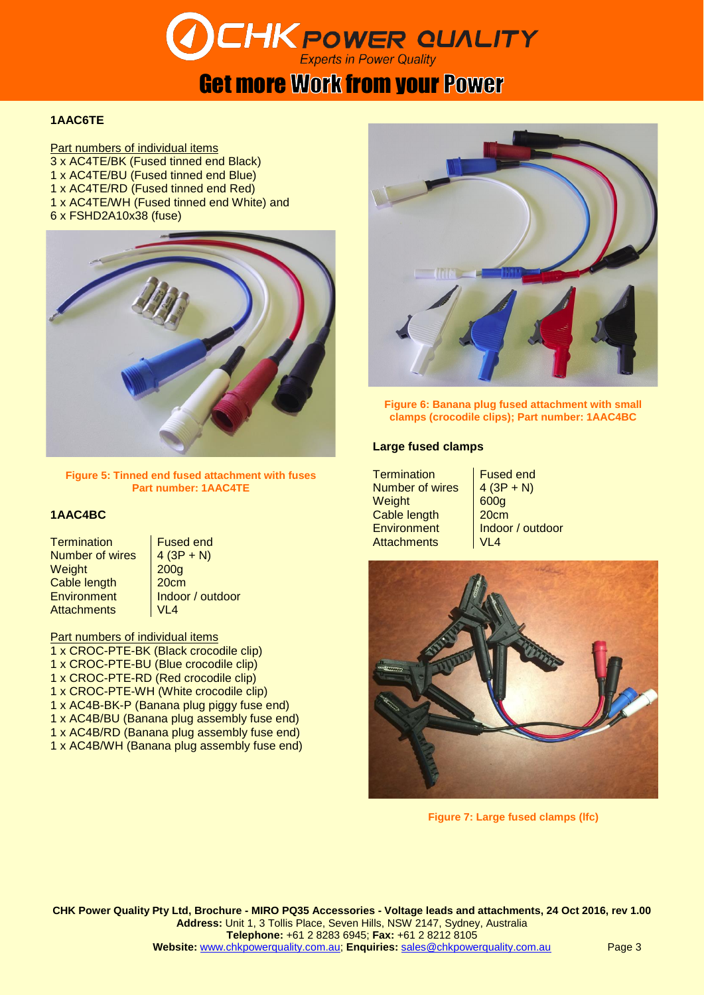# **CHK POWER QUALITY**

### **Get more Work from your Power**

#### **1AAC6TE**

**Part numbers of individual items** 3 x AC4TE/BK (Fused tinned end Black) 1 x AC4TE/BU (Fused tinned end Blue) 1 x AC4TE/RD (Fused tinned end Red) 1 x AC4TE/WH (Fused tinned end White) and 6 x FSHD2A10x38 (fuse)



**Figure 5: Tinned end fused attachment with fuses Part number: 1AAC4TE**

#### **1AAC4BC**

Termination Fused end<br>Number of wires  $4(3P + N)$ **Number of wires** Weight 200g Cable length | 20cm Environment | Indoor / outdoor Attachments | VL4

Part numbers of individual items 1 x CROC-PTE-BK (Black crocodile clip) 1 x CROC-PTE-BU (Blue crocodile clip) 1 x CROC-PTE-RD (Red crocodile clip) 1 x CROC-PTE-WH (White crocodile clip) 1 x AC4B-BK-P (Banana plug piggy fuse end) 1 x AC4B/BU (Banana plug assembly fuse end) 1 x AC4B/RD (Banana plug assembly fuse end) 1 x AC4B/WH (Banana plug assembly fuse end)



**Figure 6: Banana plug fused attachment with small clamps (crocodile clips); Part number: 1AAC4BC**

#### **Large fused clamps**

Termination | Fused end Number of wires  $\left| \begin{array}{c} 4 & (3P + N) \\ \end{array} \right|$ Weight 600g Cable length | 20cm Environment Indoor / outdoor Attachments VI 4



**Figure 7: Large fused clamps (lfc)**